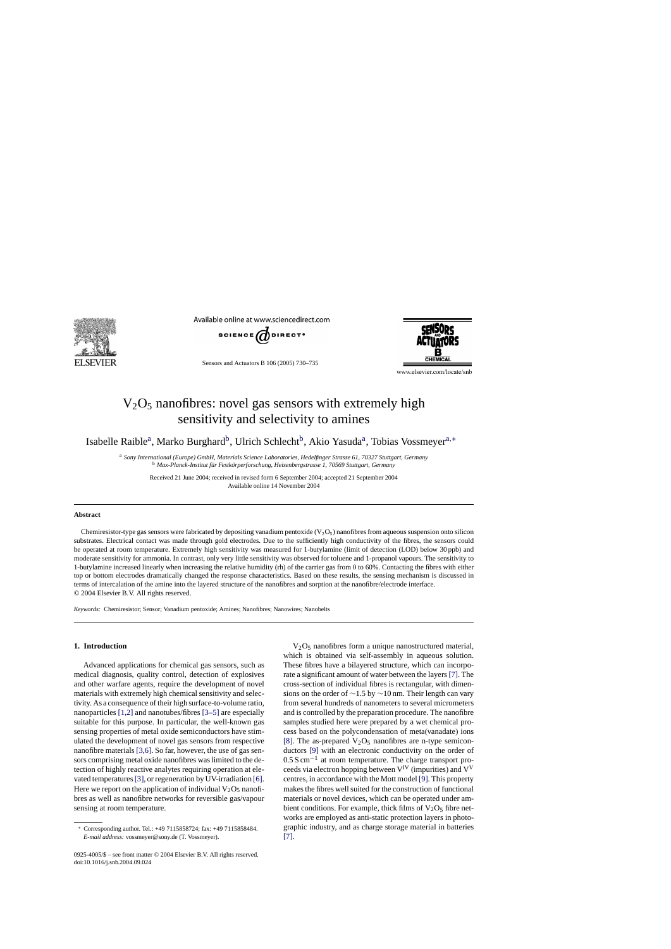

Available online at www.sciencedirect.com



Sensors and Actuators B 106 (2005) 730–735



www.elsevier.com/locate/snb

# $V_2O_5$  nanofibres: novel gas sensors with extremely high sensitivity and selectivity to amines

Isabelle Raible<sup>a</sup>, Marko Burghard<sup>b</sup>, Ulrich Schlecht<sup>b</sup>, Akio Yasuda<sup>a</sup>, Tobias Vossmeyer<sup>a,∗</sup>

<sup>a</sup> *Sony International (Europe) GmbH, Materials Science Laboratories, Hedelfinger Strasse 61, 70327 Stuttgart, Germany* <sup>b</sup> Max-Planck-Institut für Festkörperforschung, Heisenbergstrasse 1, 70569 Stuttgart, Germany

Received 21 June 2004; received in revised form 6 September 2004; accepted 21 September 2004 Available online 14 November 2004

#### **Abstract**

Chemiresistor-type gas sensors were fabricated by depositing vanadium pentoxide  $(V_2O_5)$  nanofibres from aqueous suspension onto silicon substrates. Electrical contact was made through gold electrodes. Due to the sufficiently high conductivity of the fibres, the sensors could be operated at room temperature. Extremely high sensitivity was measured for 1-butylamine (limit of detection (LOD) below 30 ppb) and moderate sensitivity for ammonia. In contrast, only very little sensitivity was observed for toluene and 1-propanol vapours. The sensitivity to 1-butylamine increased linearly when increasing the relative humidity (rh) of the carrier gas from 0 to 60%. Contacting the fibres with either top or bottom electrodes dramatically changed the response characteristics. Based on these results, the sensing mechanism is discussed in terms of intercalation of the amine into the layered structure of the nanofibres and sorption at the nanofibre/electrode interface. © 2004 Elsevier B.V. All rights reserved.

*Keywords:* Chemiresistor; Sensor; Vanadium pentoxide; Amines; Nanofibres; Nanowires; Nanobelts

## **1. Introduction**

Advanced applications for chemical gas sensors, such as medical diagnosis, quality control, detection of explosives and other warfare agents, require the development of novel materials with extremely high chemical sensitivity and selectivity. As a consequence of their high surface-to-volume ratio, nanoparticles [\[1,2\]](#page-4-0) and nanotubes/fibres [\[3–5\]](#page-4-0) are especially suitable for this purpose. In particular, the well-known gas sensing properties of metal oxide semiconductors have stimulated the development of novel gas sensors from respective nanofibre materials [\[3,6\]. S](#page-4-0)o far, however, the use of gas sensors comprising metal oxide nanofibres was limited to the detection of highly reactive analytes requiring operation at ele-vated temperatures [\[3\], o](#page-4-0)r regeneration by UV-irradiation [\[6\].](#page-5-0) Here we report on the application of individual  $V_2O_5$  nanofibres as well as nanofibre networks for reversible gas/vapour sensing at room temperature.

V2O5 nanofibres form a unique nanostructured material, which is obtained via self-assembly in aqueous solution. These fibres have a bilayered structure, which can incorporate a significant amount of water between the layers[\[7\]. T](#page-5-0)he cross-section of individual fibres is rectangular, with dimensions on the order of ∼1.5 by ∼10 nm. Their length can vary from several hundreds of nanometers to several micrometers and is controlled by the preparation procedure. The nanofibre samples studied here were prepared by a wet chemical process based on the polycondensation of meta(vanadate) ions [\[8\].](#page-5-0) The as-prepared  $V_2O_5$  nanofibres are n-type semiconductors [\[9\]](#page-5-0) with an electronic conductivity on the order of  $0.5 S \text{ cm}^{-1}$  at room temperature. The charge transport proceeds via electron hopping between  $V^{\text{IV}}$  (impurities) and  $V^{\text{V}}$ centres, in accordance with the Mott model [\[9\]. T](#page-5-0)his property makes the fibres well suited for the construction of functional materials or novel devices, which can be operated under ambient conditions. For example, thick films of  $V_2O_5$  fibre networks are employed as anti-static protection layers in photographic industry, and as charge storage material in batteries [\[7\].](#page-5-0)

<sup>∗</sup> Corresponding author. Tel.: +49 7115858724; fax: +49 7115858484. *E-mail address:* vossmeyer@sony.de (T. Vossmeyer).

<sup>0925-4005/\$ –</sup> see front matter © 2004 Elsevier B.V. All rights reserved. doi:10.1016/j.snb.2004.09.024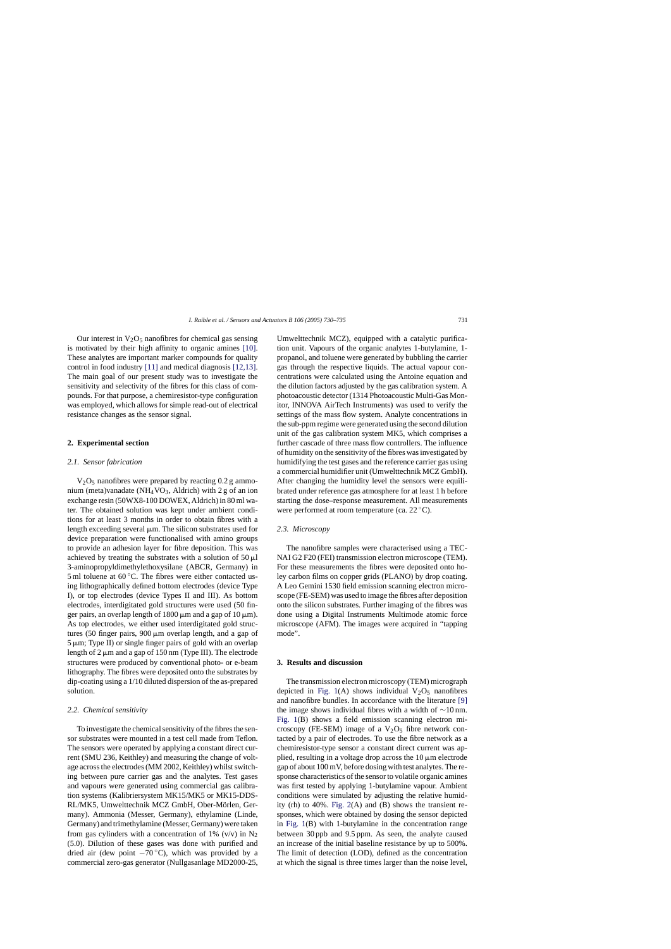Our interest in  $V_2O_5$  nanofibres for chemical gas sensing is motivated by their high affinity to organic amines [\[10\].](#page-5-0) These analytes are important marker compounds for quality control in food industry [\[11\]](#page-5-0) and medical diagnosis [\[12,13\].](#page-5-0) The main goal of our present study was to investigate the sensitivity and selectivity of the fibres for this class of compounds. For that purpose, a chemiresistor-type configuration was employed, which allows for simple read-out of electrical resistance changes as the sensor signal.

### **2. Experimental section**

#### *2.1. Sensor fabrication*

 $V<sub>2</sub>O<sub>5</sub>$  nanofibres were prepared by reacting 0.2 g ammonium (meta)vanadate (NH<sub>4</sub>VO<sub>3</sub>, Aldrich) with 2 g of an ion exchange resin (50WX8-100 DOWEX, Aldrich) in 80 ml water. The obtained solution was kept under ambient conditions for at least 3 months in order to obtain fibres with a length exceeding several  $\mu$ m. The silicon substrates used for device preparation were functionalised with amino groups to provide an adhesion layer for fibre deposition. This was achieved by treating the substrates with a solution of  $50 \mu l$ 3-aminopropyldimethylethoxysilane (ABCR, Germany) in 5 ml toluene at  $60^{\circ}$ C. The fibres were either contacted using lithographically defined bottom electrodes (device Type I), or top electrodes (device Types II and III). As bottom electrodes, interdigitated gold structures were used (50 finger pairs, an overlap length of 1800  $\mu$ m and a gap of 10  $\mu$ m). As top electrodes, we either used interdigitated gold structures (50 finger pairs,  $900 \mu m$  overlap length, and a gap of  $5 \mu m$ ; Type II) or single finger pairs of gold with an overlap length of  $2 \mu m$  and a gap of 150 nm (Type III). The electrode structures were produced by conventional photo- or e-beam lithography. The fibres were deposited onto the substrates by dip-coating using a 1/10 diluted dispersion of the as-prepared solution.

#### *2.2. Chemical sensitivity*

To investigate the chemical sensitivity of the fibres the sensor substrates were mounted in a test cell made from Teflon. The sensors were operated by applying a constant direct current (SMU 236, Keithley) and measuring the change of voltage across the electrodes (MM 2002, Keithley) whilst switching between pure carrier gas and the analytes. Test gases and vapours were generated using commercial gas calibration systems (Kalibriersystem MK15/MK5 or MK15-DDS-RL/MK5, Umwelttechnik MCZ GmbH, Ober-Mörlen, Germany). Ammonia (Messer, Germany), ethylamine (Linde, Germany) and trimethylamine (Messer, Germany) were taken from gas cylinders with a concentration of 1% (v/v) in  $N_2$ (5.0). Dilution of these gases was done with purified and dried air (dew point  $-70^{\circ}$ C), which was provided by a commercial zero-gas generator (Nullgasanlage MD2000-25,

Umwelttechnik MCZ), equipped with a catalytic purification unit. Vapours of the organic analytes 1-butylamine, 1 propanol, and toluene were generated by bubbling the carrier gas through the respective liquids. The actual vapour concentrations were calculated using the Antoine equation and the dilution factors adjusted by the gas calibration system. A photoacoustic detector (1314 Photoacoustic Multi-Gas Monitor, INNOVA AirTech Instruments) was used to verify the settings of the mass flow system. Analyte concentrations in the sub-ppm regime were generated using the second dilution unit of the gas calibration system MK5, which comprises a further cascade of three mass flow controllers. The influence of humidity on the sensitivity of the fibres was investigated by humidifying the test gases and the reference carrier gas using a commercial humidifier unit (Umwelttechnik MCZ GmbH). After changing the humidity level the sensors were equilibrated under reference gas atmosphere for at least 1 h before starting the dose–response measurement. All measurements were performed at room temperature (ca. 22 ◦C).

## *2.3. Microscopy*

The nanofibre samples were characterised using a TEC-NAI G2 F20 (FEI) transmission electron microscope (TEM). For these measurements the fibres were deposited onto holey carbon films on copper grids (PLANO) by drop coating. A Leo Gemini 1530 field emission scanning electron microscope (FE-SEM) was used to image the fibres after deposition onto the silicon substrates. Further imaging of the fibres was done using a Digital Instruments Multimode atomic force microscope (AFM). The images were acquired in "tapping mode".

## **3. Results and discussion**

The transmission electron microscopy (TEM) micrograph depicted in [Fig. 1\(](#page-2-0)A) shows individual  $V_2O_5$  nanofibres and nanofibre bundles. In accordance with the literature [\[9\]](#page-5-0) the image shows individual fibres with a width of ∼10 nm. [Fig. 1\(](#page-2-0)B) shows a field emission scanning electron microscopy (FE-SEM) image of a  $V_2O_5$  fibre network contacted by a pair of electrodes. To use the fibre network as a chemiresistor-type sensor a constant direct current was applied, resulting in a voltage drop across the  $10 \mu m$  electrode gap of about 100 mV, before dosing with test analytes. The response characteristics of the sensor to volatile organic amines was first tested by applying 1-butylamine vapour. Ambient conditions were simulated by adjusting the relative humidity (rh) to 40%. [Fig. 2\(A](#page-3-0)) and (B) shows the transient responses, which were obtained by dosing the sensor depicted in [Fig. 1\(](#page-2-0)B) with 1-butylamine in the concentration range between 30 ppb and 9.5 ppm. As seen, the analyte caused an increase of the initial baseline resistance by up to 500%. The limit of detection (LOD), defined as the concentration at which the signal is three times larger than the noise level,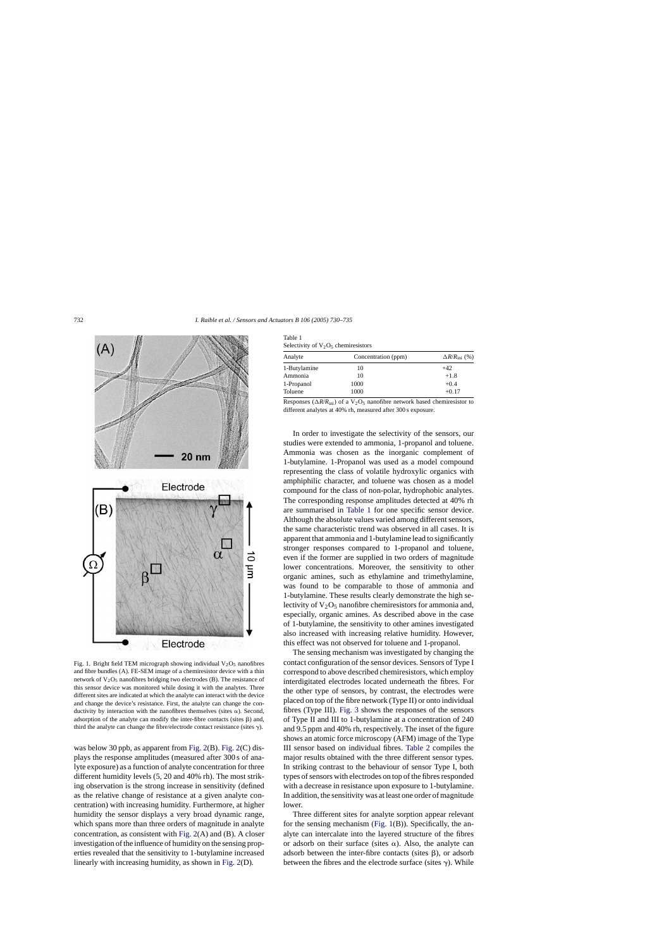<span id="page-2-0"></span>

Fig. 1. Bright field TEM micrograph showing individual  $V_2O_5$  nanofibres and fibre bundles (A). FE-SEM image of a chemiresistor device with a thin network of  $V_2O_5$  nanofibres bridging two electrodes (B). The resistance of this sensor device was monitored while dosing it with the analytes. Three different sites are indicated at which the analyte can interact with the device and change the device's resistance. First, the analyte can change the conductivity by interaction with the nanofibres themselves (sites  $\alpha$ ). Second, adsorption of the analyte can modify the inter-fibre contacts (sites  $\beta$ ) and, third the analyte can change the fibre/electrode contact resistance (sites  $\gamma$ ).

was below 30 ppb, as apparent from [Fig. 2\(B](#page-3-0)). [Fig. 2\(C](#page-3-0)) displays the response amplitudes (measured after 300 s of analyte exposure) as a function of analyte concentration for three different humidity levels (5, 20 and 40% rh). The most striking observation is the strong increase in sensitivity (defined as the relative change of resistance at a given analyte concentration) with increasing humidity. Furthermore, at higher humidity the sensor displays a very broad dynamic range, which spans more than three orders of magnitude in analyte concentration, as consistent with [Fig. 2\(A](#page-3-0)) and (B). A closer investigation of the influence of humidity on the sensing properties revealed that the sensitivity to 1-butylamine increased linearly with increasing humidity, as shown in [Fig. 2\(D](#page-3-0)).

| Table 1                                |  |
|----------------------------------------|--|
| Selectivity of $V_2O_5$ chemiresistors |  |

| Analyte      | Concentration (ppm) | $\Delta R/R_{\text{ini}}$ (%) |  |
|--------------|---------------------|-------------------------------|--|
| 1-Butylamine | 10                  | $+42$                         |  |
| Ammonia      | 10                  | $+1.8$                        |  |
| 1-Propanol   | 1000                | $+0.4$                        |  |
| Toluene      | 1000                | $+0.17$                       |  |

Responses ( $\Delta R/R_{\text{ini}}$ ) of a V<sub>2</sub>O<sub>5</sub> nanofibre network based chemiresistor to different analytes at 40% rh, measured after 300 s exposure.

In order to investigate the selectivity of the sensors, our studies were extended to ammonia, 1-propanol and toluene. Ammonia was chosen as the inorganic complement of 1-butylamine. 1-Propanol was used as a model compound representing the class of volatile hydroxylic organics with amphiphilic character, and toluene was chosen as a model compound for the class of non-polar, hydrophobic analytes. The corresponding response amplitudes detected at 40% rh are summarised in Table 1 for one specific sensor device. Although the absolute values varied among different sensors, the same characteristic trend was observed in all cases. It is apparent that ammonia and 1-butylamine lead to significantly stronger responses compared to 1-propanol and toluene, even if the former are supplied in two orders of magnitude lower concentrations. Moreover, the sensitivity to other organic amines, such as ethylamine and trimethylamine, was found to be comparable to those of ammonia and 1-butylamine. These results clearly demonstrate the high selectivity of  $V_2O_5$  nanofibre chemiresistors for ammonia and, especially, organic amines. As described above in the case of 1-butylamine, the sensitivity to other amines investigated also increased with increasing relative humidity. However, this effect was not observed for toluene and 1-propanol.

The sensing mechanism was investigated by changing the contact configuration of the sensor devices. Sensors of Type I correspond to above described chemiresistors, which employ interdigitated electrodes located underneath the fibres. For the other type of sensors, by contrast, the electrodes were placed on top of the fibre network (Type II) or onto individual fibres (Type III). [Fig. 3](#page-3-0) shows the responses of the sensors of Type II and III to 1-butylamine at a concentration of 240 and 9.5 ppm and 40% rh, respectively. The inset of the figure shows an atomic force microscopy (AFM) image of the Type III sensor based on individual fibres. [Table 2](#page-4-0) compiles the major results obtained with the three different sensor types. In striking contrast to the behaviour of sensor Type I, both types of sensors with electrodes on top of the fibres responded with a decrease in resistance upon exposure to 1-butylamine. In addition, the sensitivity was at least one order of magnitude lower.

Three different sites for analyte sorption appear relevant for the sensing mechanism (Fig. 1(B)). Specifically, the analyte can intercalate into the layered structure of the fibres or adsorb on their surface (sites  $\alpha$ ). Also, the analyte can adsorb between the inter-fibre contacts (sites  $\beta$ ), or adsorb between the fibres and the electrode surface (sites  $\gamma$ ). While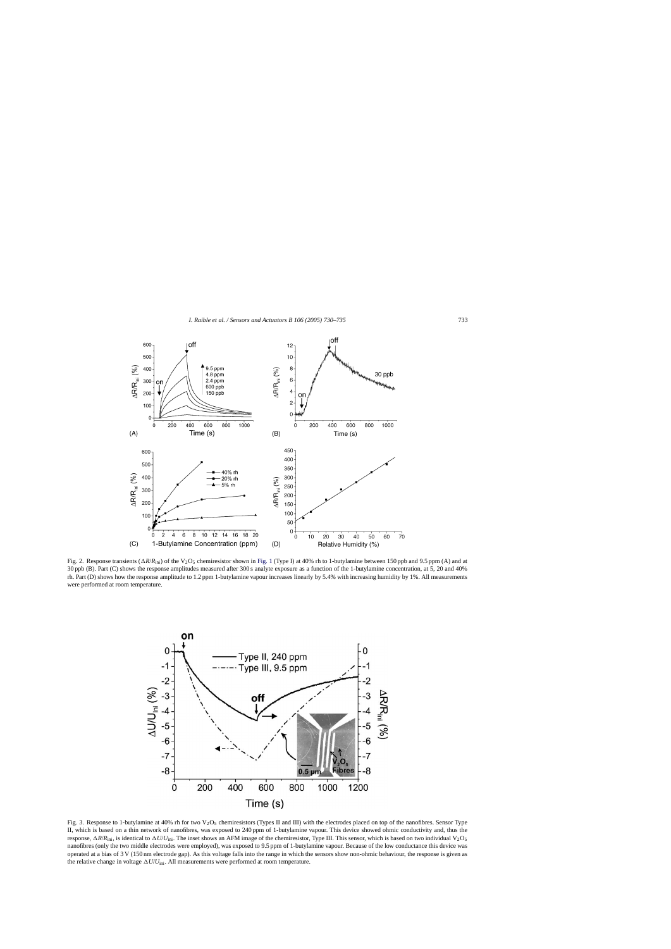<span id="page-3-0"></span>

Fig. 2. Response transients  $(\Delta R/R_{\text{ini}})$  of the V<sub>2</sub>O<sub>5</sub> chemiresistor shown in [Fig. 1](#page-2-0) (Type I) at 40% rh to 1-butylamine between 150 ppb and 9.5 ppm (A) and at 30 ppb (B). Part (C) shows the response amplitudes measured after 300 s analyte exposure as a function of the 1-butylamine concentration, at 5, 20 and 40% rh. Part (D) shows how the response amplitude to 1.2 ppm 1-butylamine vapour increases linearly by 5.4% with increasing humidity by 1%. All measurements were performed at room temperature.



Fig. 3. Response to 1-butylamine at 40% rh for two V<sub>2</sub>O<sub>5</sub> chemiresistors (Types II and III) with the electrodes placed on top of the nanofibres. Sensor Type II, which is based on a thin network of nanofibres, was exposed to 240 ppm of 1-butylamine vapour. This device showed ohmic conductivity and, thus the response,  $\Delta R/R_{\text{ini}}$ , is identical to  $\Delta U/U_{\text{ini}}$ . The inset shows an AFM image of the chemiresistor, Type III. This sensor, which is based on two individual V<sub>2</sub>O<sub>5</sub> nanofibres (only the two middle electrodes were employed), was exposed to 9.5 ppm of 1-butylamine vapour. Because of the low conductance this device was operated at a bias of 3 V (150 nm electrode gap). As this voltage falls into the range in which the sensors show non-ohmic behaviour, the response is given as the relative change in voltage  $\Delta U/U_{\text{ini}}$ . All measurements were performed at room temperature.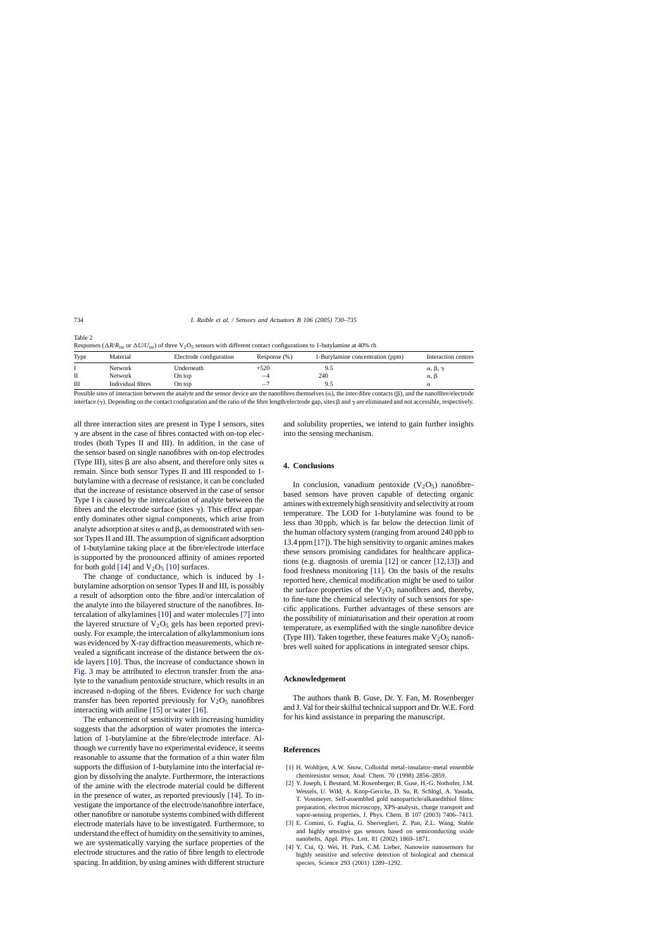<span id="page-4-0"></span>

| Table 2                                                                                                                                                                               |  |
|---------------------------------------------------------------------------------------------------------------------------------------------------------------------------------------|--|
| Responses ( $\Delta R/R_{\text{ini}}$ ) or $\Delta U/U_{\text{ini}}$ ) of three V <sub>2</sub> O <sub>5</sub> sensors with different contact configurations to 1-butylamine at 40% rh |  |

| Type | Material          | Electrode configuration | Response $(\% )$ | 1-Butylamine concentration (ppm) | Interaction centres           |
|------|-------------------|-------------------------|------------------|----------------------------------|-------------------------------|
|      | Network           | Underneath              | +520             |                                  | $\alpha$ , $\beta$ , $\gamma$ |
| П    | Network           | On top                  | $-4$             | 240                              | $\alpha$ ,                    |
| Ш    | Individual fibres | On top                  | —                |                                  | α                             |

Possible sites of interaction between the analyte and the sensor device are the nanofibres themselves  $(\alpha)$ , the inter-fibre contacts  $(\beta)$ , and the nanofibre/electrode interface ( $\gamma$ ). Depending on the contact configuration and the ratio of the fibre length/electrode gap, sites  $\beta$  and  $\gamma$  are eliminated and not accessible, respectively.

all three interaction sites are present in Type I sensors, sites  $\gamma$  are absent in the case of fibres contacted with on-top electrodes (both Types II and III). In addition, in the case of the sensor based on single nanofibres with on-top electrodes (Type III), sites  $\beta$  are also absent, and therefore only sites  $\alpha$ remain. Since both sensor Types II and III responded to 1 butylamine with a decrease of resistance, it can be concluded that the increase of resistance observed in the case of sensor Type I is caused by the intercalation of analyte between the fibres and the electrode surface (sites  $\gamma$ ). This effect apparently dominates other signal components, which arise from analyte adsorption at sites  $\alpha$  and  $\beta$ , as demonstrated with sensor Types II and III. The assumption of significant adsorption of 1-butylamine taking place at the fibre/electrode interface is supported by the pronounced affinity of amines reported for both gold [\[14\]](#page-5-0) and  $V_2O_5$  [\[10\]](#page-5-0) surfaces.

The change of conductance, which is induced by 1 butylamine adsorption on sensor Types II and III, is possibly a result of adsorption onto the fibre and/or intercalation of the analyte into the bilayered structure of the nanofibres. Intercalation of alkylamines [\[10\]](#page-5-0) and water molecules [\[7\]](#page-5-0) into the layered structure of  $V_2O_5$  gels has been reported previously. For example, the intercalation of alkylammonium ions was evidenced by X-ray diffraction measurements, which revealed a significant increase of the distance between the oxide layers [\[10\].](#page-5-0) Thus, the increase of conductance shown in [Fig. 3](#page-3-0) may be attributed to electron transfer from the analyte to the vanadium pentoxide structure, which results in an increased n-doping of the fibres. Evidence for such charge transfer has been reported previously for  $V_2O_5$  nanofibres interacting with aniline [\[15\]](#page-5-0) or water [\[16\].](#page-5-0)

The enhancement of sensitivity with increasing humidity suggests that the adsorption of water promotes the intercalation of 1-butylamine at the fibre/electrode interface. Although we currently have no experimental evidence, it seems reasonable to assume that the formation of a thin water film supports the diffusion of 1-butylamine into the interfacial region by dissolving the analyte. Furthermore, the interactions of the amine with the electrode material could be different in the presence of water, as reported previously [\[14\].](#page-5-0) To investigate the importance of the electrode/nanofibre interface, other nanofibre or nanotube systems combined with different electrode materials have to be investigated. Furthermore, to understand the effect of humidity on the sensitivity to amines, we are systematically varying the surface properties of the electrode structures and the ratio of fibre length to electrode spacing. In addition, by using amines with different structure

and solubility properties, we intend to gain further insights into the sensing mechanism.

# **4. Conclusions**

In conclusion, vanadium pentoxide  $(V_2O_5)$  nanofibrebased sensors have proven capable of detecting organic amines with extremely high sensitivity and selectivity at room temperature. The LOD for 1-butylamine was found to be less than 30 ppb, which is far below the detection limit of the human olfactory system (ranging from around 240 ppb to 13.4 ppm [\[17\]\).](#page-5-0) The high sensitivity to organic amines makes these sensors promising candidates for healthcare applications (e.g. diagnosis of uremia [\[12\]](#page-5-0) or cancer [\[12,13\]\)](#page-5-0) and food freshness monitoring [\[11\].](#page-5-0) On the basis of the results reported here, chemical modification might be used to tailor the surface properties of the  $V_2O_5$  nanofibres and, thereby, to fine-tune the chemical selectivity of such sensors for specific applications. Further advantages of these sensors are the possibility of miniaturisation and their operation at room temperature, as exemplified with the single nanofibre device (Type III). Taken together, these features make  $V_2O_5$  nanofibres well suited for applications in integrated sensor chips.

### **Acknowledgement**

The authors thank B. Guse, Dr. Y. Fan, M. Rosenberger and J. Val for their skilful technical support and Dr. W.E. Ford for his kind assistance in preparing the manuscript.

#### **References**

- [1] H. Wohltjen, A.W. Snow, Colloidal metal–insulator–metal ensemble chemiresistor sensor, Anal. Chem. 70 (1998) 2856–2859.
- [2] Y. Joseph, I. Besnard, M. Rosenberger, B. Guse, H.-G. Nothofer, J.M. Wessels, U. Wild, A. Knop-Gericke, D. Su, R. Schlögl, A. Yasuda, T. Vossmeyer, Self-assembled gold nanoparticle/alkanedithiol films: preparation, electron microscopy, XPS-analysis, charge transport and vapor-sensing properties, J. Phys. Chem. B 107 (2003) 7406–7413.
- [3] E. Comini, G. Faglia, G. Sberveglieri, Z. Pan, Z.L. Wang, Stable and highly sensitive gas sensors based on semiconducting oxide nanobelts, Appl. Phys. Lett. 81 (2002) 1869–1871.
- [4] Y. Cui, Q. Wei, H. Park, C.M. Lieber, Nanowire nanosensors for highly sensitive and selective detection of biological and chemical species, Science 293 (2001) 1289–1292.